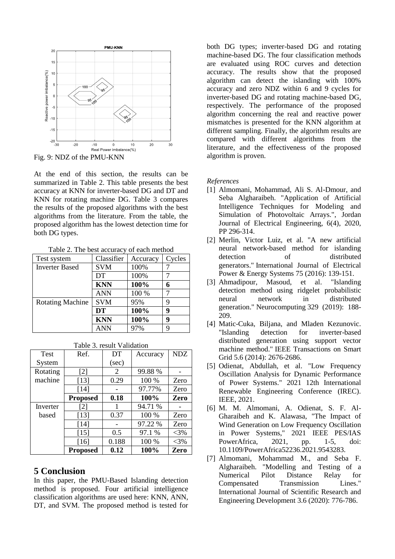

Fig. 9: NDZ of the PMU-KNN

At the end of this section, the results can be summarized in Table 2. This table presents the best accuracy at KNN for inverter-based DG and DT and KNN for rotating machine DG. Table 3 compares the results of the proposed algorithms with the best algorithms from the literature. From the table, the proposed algorithm has the lowest detection time for both DG types.

Table 2. The best accuracy of each method

| Test system             | Classifier | Accuracy | Cycles |
|-------------------------|------------|----------|--------|
| <b>Inverter Based</b>   | <b>SVM</b> | 100%     |        |
|                         | DT         | 100%     |        |
|                         | <b>KNN</b> | 100%     | 6      |
|                         | <b>ANN</b> | 100 %    |        |
| <b>Rotating Machine</b> | <b>SVM</b> | 95%      | 9      |
|                         | <b>DT</b>  | 100%     | 9      |
|                         | <b>KNN</b> | 100%     | 9      |
|                         | <b>ANN</b> | 97%      | q      |

| <b>Test</b> | Ref.              | DT    | Accuracy | <b>NDZ</b> |
|-------------|-------------------|-------|----------|------------|
| System      |                   | (sec) |          |            |
| Rotating    | $\lceil 2 \rceil$ | 2     | 99.88%   |            |
| machine     | $[13]$            | 0.29  | 100 %    | Zero       |
|             | [14]              |       | 97.77%   | Zero       |
|             | <b>Proposed</b>   | 0.18  | 100%     | Zero       |
| Inverter    | [2]               | 1     | 94.71 %  |            |
| based       | [13]              | 0.37  | 100 %    | Zero       |
|             | [14]              |       | 97.22 %  | Zero       |
|             | $[15]$            | 0.5   | 97.1 %   | $<$ 3%     |
|             | $[16]$            | 0.188 | 100 %    | $<$ 3%     |
|             | <b>Proposed</b>   | 0.12  | 100%     | Zero       |

Table 3. result Validation

## **5 Conclusion**

In this paper, the PMU-Based Islanding detection method is proposed. Four artificial intelligence classification algorithms are used here: KNN, ANN, DT, and SVM. The proposed method is tested for both DG types; inverter-based DG and rotating machine-based DG. The four classification methods are evaluated using ROC curves and detection accuracy. The results show that the proposed algorithm can detect the islanding with 100% accuracy and zero NDZ within 6 and 9 cycles for inverter-based DG and rotating machine-based DG, respectively. The performance of the proposed algorithm concerning the real and reactive power mismatches is presented for the KNN algorithm at different sampling. Finally, the algorithm results are compared with different algorithms from the literature, and the effectiveness of the proposed algorithm is proven.

### *References*

- [1] Almomani, Mohammad, Ali S. Al-Dmour, and Seba Algharaibeh. "Application of Artificial Intelligence Techniques for Modeling and Simulation of Photovoltaic Arrays.", Jordan Journal of Electrical Engineering, 6(4), 2020, PP 296-314.
- [2] Merlin, Victor Luiz, et al. "A new artificial neural network-based method for islanding detection of distributed generators." International Journal of Electrical Power & Energy Systems 75 (2016): 139-151.
- [3] Ahmadipour, Masoud, et al. "Islanding detection method using ridgelet probabilistic neural network in distributed generation." Neurocomputing 329 (2019): 188- 209.
- [4] Matic-Cuka, Biljana, and Mladen Kezunovic. "Islanding detection for inverter-based distributed generation using support vector machine method." IEEE Transactions on Smart Grid 5.6 (2014): 2676-2686.
- [5] Odienat, Abdullah, et al. "Low Frequency Oscillation Analysis for Dynamic Performance of Power Systems." 2021 12th International Renewable Engineering Conference (IREC). IEEE, 2021.
- [6] M. M. Almomani, A. Odienat, S. F. Al-Gharaibeh and K. Alawasa, "The Impact of Wind Generation on Low Frequency Oscillation in Power Systems," 2021 IEEE PES/IAS PowerAfrica, 2021, pp. 1-5, doi: 10.1109/PowerAfrica52236.2021.9543283.
- [7] Almomani, Mohammad M., and Seba F. Algharaibeh. "Modelling and Testing of a Numerical Pilot Distance Relay for Compensated Transmission Lines." International Journal of Scientific Research and Engineering Development 3.6 (2020): 776-786.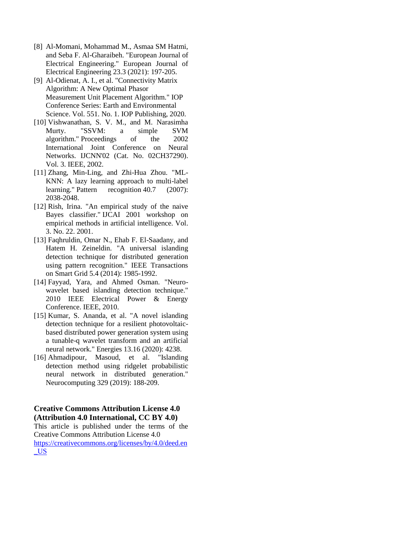- [8] Al-Momani, Mohammad M., Asmaa SM Hatmi, and Seba F. Al-Gharaibeh. "European Journal of Electrical Engineering." European Journal of Electrical Engineering 23.3 (2021): 197-205.
- [9] Al-Odienat, A. I., et al. "Connectivity Matrix Algorithm: A New Optimal Phasor Measurement Unit Placement Algorithm." IOP Conference Series: Earth and Environmental Science. Vol. 551. No. 1. IOP Publishing, 2020.
- [10] Vishwanathan, S. V. M., and M. Narasimha Murty. "SSVM: a simple SVM algorithm." Proceedings of the 2002 International Joint Conference on Neural Networks. IJCNN'02 (Cat. No. 02CH37290). Vol. 3. IEEE, 2002.
- [11] Zhang, Min-Ling, and Zhi-Hua Zhou. "ML-KNN: A lazy learning approach to multi-label learning." Pattern recognition 40.7 (2007): 2038-2048.
- [12] Rish, Irina. "An empirical study of the naive Bayes classifier." IJCAI 2001 workshop on empirical methods in artificial intelligence. Vol. 3. No. 22. 2001.
- [13] Faqhruldin, Omar N., Ehab F. El-Saadany, and Hatem H. Zeineldin. "A universal islanding detection technique for distributed generation using pattern recognition." IEEE Transactions on Smart Grid 5.4 (2014): 1985-1992.
- [14] Fayyad, Yara, and Ahmed Osman. "Neurowavelet based islanding detection technique." 2010 IEEE Electrical Power & Energy Conference. IEEE, 2010.
- [15] Kumar, S. Ananda, et al. "A novel islanding detection technique for a resilient photovoltaicbased distributed power generation system using a tunable-q wavelet transform and an artificial neural network." Energies 13.16 (2020): 4238.
- [16] Ahmadipour, Masoud, et al. "Islanding detection method using ridgelet probabilistic neural network in distributed generation." Neurocomputing 329 (2019): 188-209.

### **Creative Commons Attribution License 4.0 (Attribution 4.0 International, CC BY 4.0)**

This article is published under the terms of the Creative Commons Attribution License 4.0 [https://creativecommons.org/licenses/by/4.0/deed.en](https://creativecommons.org/licenses/by/4.0/deed.en_US) [\\_US](https://creativecommons.org/licenses/by/4.0/deed.en_US)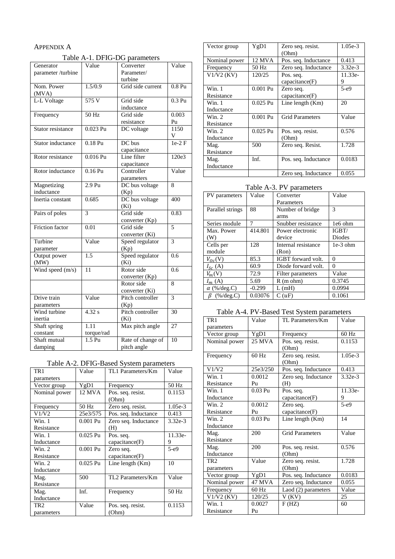## APPENDIX A

Table A-1. DFIG-DG parameters

| Generator          | Value            | Converter         | Value    |
|--------------------|------------------|-------------------|----------|
| parameter /turbine |                  | Parameter/        |          |
|                    |                  | turbine           |          |
| Nom. Power         | 1.5/0.9          | Grid side current | $0.8$ Pu |
| (MVA)              |                  |                   |          |
| L-L Voltage        | 575 V            | Grid side         | $0.3$ Pu |
|                    |                  | inductance        |          |
| Frequency          | 50 Hz            | Grid side         | 0.003    |
|                    |                  | resistance        | Pu       |
| Stator resistance  | $0.023$ Pu       | DC voltage        | 1150     |
|                    |                  |                   | V        |
| Stator inductance  | $0.18$ Pu        | DC bus            | $1e-2F$  |
|                    |                  | capacitance       |          |
| Rotor resistance   | $0.016$ Pu       | Line filter       | 120e3    |
|                    |                  | capacitance       |          |
| Rotor inductance   | $0.16$ Pu        | Controller        | Value    |
|                    |                  | parameters        |          |
| Magnetizing        | 2.9 Pu           | DC bus voltage    | 8        |
| inductance         |                  | (Kp)              |          |
| Inertia constant   | 0.685            | DC bus voltage    | 400      |
|                    |                  | (Ki)              |          |
| Pairs of poles     | 3                | Grid side         | 0.83     |
|                    |                  | converter (Kp)    |          |
| Friction factor    | 0.01             | Grid side         | 5        |
|                    |                  | converter (Ki)    |          |
| Turbine            | Value            | Speed regulator   | 3        |
| parameter          |                  | (Kp)              |          |
| Output power       | $\overline{1.5}$ | Speed regulator   | 0.6      |
| (MW)               |                  | (Ki)              |          |
| Wind speed (m/s)   | 11               | Rotor side        | 0.6      |
|                    |                  | converter (Kp)    |          |
|                    |                  | Rotor side        | 8        |
|                    |                  | converter (Ki)    |          |
| Drive train        | Value            | Pitch controller  | 3        |
| parameters         |                  | (Kp)              |          |
| Wind turbine       | 4.32 s           | Pitch controller  | 30       |
| inertia            |                  | (Ki)              |          |
| Shaft spring       | 1.11             | Max pitch angle   | 27       |
| constant           | torque/rad       |                   |          |
| Shaft mutual       | $1.51$ Pu        | Rate of change of | 10       |
| damping            |                  | pitch angle       |          |

Table A-2. DFIG-Based System parameters

| TR <sub>1</sub> | Value      | TL1 Parameters/Km    | Value     |
|-----------------|------------|----------------------|-----------|
| parameters      |            |                      |           |
| Vector group    | YgD1       | Frequency            | 50 Hz     |
| Nominal power   | 12 MVA     | Pos. seq. resist.    | 0.1153    |
|                 |            | (Ohm)                |           |
| Frequency       | 50 Hz      | Zero seq. resist.    | $1.05e-3$ |
| V1/V2           | 25e3/575   | Pos. seq. Inductance | 0.413     |
| Win. 1          | $0.001$ Pu | Zero seq. Inductance | $3.32e-3$ |
| Resistance      |            | (H)                  |           |
| Win. 1          | $0.025$ Pu | Pos. seq.            | 11.33e-   |
| Inductance      |            | capacitance(F)       | 9         |
| Win. 2          | $0.001$ Pu | Zero seq.            | $5-e9$    |
| Resistance      |            | capacitance(F)       |           |
| Win. 2          | $0.025$ Pu | Line length (Km)     | 10        |
| Inductance      |            |                      |           |
| Mag.            | 500        | TL2 Parameters/Km    | Value     |
| Resistance      |            |                      |           |
| Mag.            | Inf.       | Frequency            | 50 Hz     |
| Inductance      |            |                      |           |
| TR <sub>2</sub> | Value      | Pos. seq. resist.    | 0.1153    |
| parameters      |            | (Ohm)                |           |

| Vector group  | YgD1       | Zero seq. resist.      | $1.05e-3$ |
|---------------|------------|------------------------|-----------|
|               |            | (Ohm)                  |           |
| Nominal power | 12 MVA     | Pos. seq. Inductance   | 0.413     |
| Frequency     | 50 Hz      | Zero seq. Inductance   | $3.32e-3$ |
| $V1/V2$ (KV)  | 120/25     | Pos. seq.              | 11.33e-   |
|               |            | capacitance(F)         | 9         |
| $W$ in. 1     | $0.001$ Pu | Zero seq.              | $5-e9$    |
| Resistance    |            | capacitance(F)         |           |
| $W$ in. 1     | $0.025$ Pu | Line length $(Km)$     | 20        |
| Inductance    |            |                        |           |
| Win. 2        | $0.001$ Pu | <b>Grid Parameters</b> | Value     |
| Resistance    |            |                        |           |
| Win. 2        | $0.025$ Pu | Pos. seq. resist.      | 0.576     |
| Inductance    |            | (Ohm)                  |           |
| Mag.          | 500        | Zero seq. Resist.      | 1.728     |
| Resistance    |            |                        |           |
| Mag.          | Inf.       | Pos. seq. Inductance   | 0.0183    |
| Inductance    |            |                        |           |
|               |            | Zero seq. Inductance   | 0.055     |

# Table A-3. PV parameters

| PV parameters      | Value    | Converter           | Value      |
|--------------------|----------|---------------------|------------|
|                    |          | Parameters          |            |
| Parallel strings   | 88       | Number of bridge    | 3          |
|                    |          | arms                |            |
| Series module      |          | Snubber resistance  | 1e6 ohm    |
| Max. Power         | 414.801  | Power electronic    | IGBT/      |
| (W)                |          | device              | Diodes     |
| Cells per          | 128      | Internal resistance | $1e-3$ ohm |
| module             |          | (Ron)               |            |
| $V_{0c}(V)$        | 85.3     | IGBT forward volt.  | 0          |
| $I_{Sc}$ (A)       | 60.9     | Diode forward volt. | $\Omega$   |
| $V_m(V)$           | 72.9     | Filter parameters   | Value      |
| $I_m(A)$           | 5.69     | $R$ (m ohm)         | 0.3745     |
| $\alpha$ (%/deg.C) | $-0.299$ | L(mH)               | 0.0994     |
| $(\%$ /deg.C)      | 0.03076  | C(uF)               | 0.1061     |

# Table A-4. PV-Based Test System parameters

| TR <sub>1</sub> | Value         | TL Parameters/Km       | Value     |
|-----------------|---------------|------------------------|-----------|
| parameters      |               |                        |           |
| Vector group    | YgD1          | Frequency              | $60$ Hz   |
| Nominal power   | <b>25 MVA</b> | Pos. seq. resist.      | 0.1153    |
|                 |               | (Ohm)                  |           |
| Frequency       | $60$ Hz       | Zero seq. resist.      | $1.05e-3$ |
|                 |               | (Ohm)                  |           |
| V1/V2           | 25e3/250      | Pos. seq. Inductance   | 0.413     |
| Win. 1          | 0.0012        | Zero seq. Inductance   | $3.32e-3$ |
| Resistance      | $P_{11}$      | (H)                    |           |
| Win. 1          | $0.03$ Pu     | Pos. seq.              | 11.33e-   |
| Inductance      |               | capacitance(F)         | 9         |
| Win. 2          | 0.0012        | Zero seq.              | $5-e9$    |
| Resistance      | Pu            | capacitance(F)         |           |
| Win. 2          | $0.03$ Pu     | Line length (Km)       | 14        |
| Inductance      |               |                        |           |
| Mag.            | 200           | <b>Grid Parameters</b> | Value     |
| Resistance      |               |                        |           |
| Mag.            | 200           | Pos. seq. resist.      | 0.576     |
| Inductance      |               | (Ohm)                  |           |
| TR <sub>2</sub> | Value         | Zero seq. resist.      | 1.728     |
| parameters      |               | (Ohm)                  |           |
| Vector group    | YgD1          | Pos. seq. Inductance   | 0.0183    |
| Nominal power   | <b>47 MVA</b> | Zero seq. Inductance   | 0.055     |
| Frequency       | 60 Hz         | Laod (2) parameters    | Value     |
| $V1/V2$ (KV)    | 120/25        | V(KV)                  | 25        |
| Win. 1          | 0.0027        | F(HZ)                  | 60        |
| Resistance      | Pu            |                        |           |